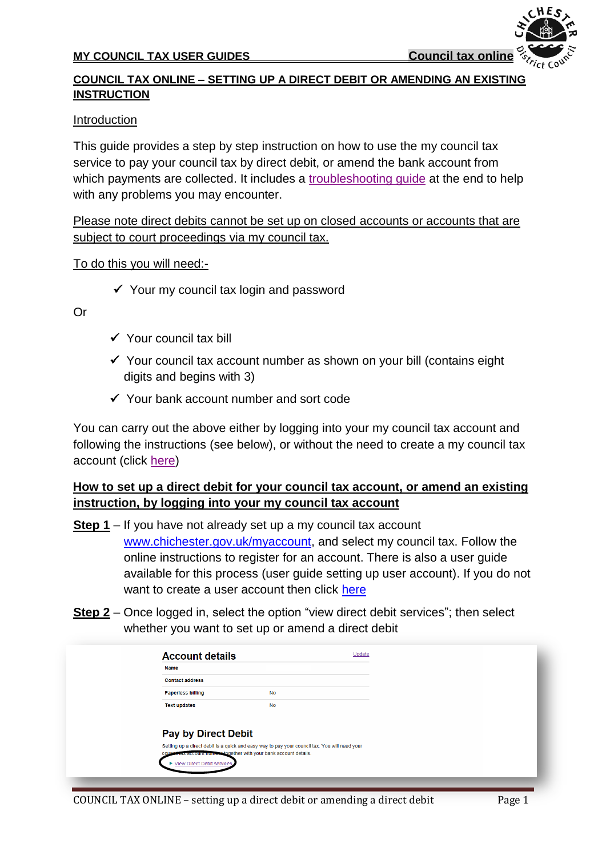### **MY COUNCIL TAX USER GUIDES Council tax online**

### **COUNCIL TAX ONLINE – SETTING UP A DIRECT DEBIT OR AMENDING AN EXISTING INSTRUCTION**

#### Introduction

This guide provides a step by step instruction on how to use the my council tax service to pay your council tax by direct debit, or amend the bank account from which payments are collected. It includes a [troubleshooting guide](#page-7-0) at the end to help with any problems you may encounter.

Please note direct debits cannot be set up on closed accounts or accounts that are subject to court proceedings via my council tax.

#### To do this you will need:-

 $\checkmark$  Your my council tax login and password

#### Or

- $\checkmark$  Your council tax bill
- $\checkmark$  Your council tax account number as shown on your bill (contains eight digits and begins with 3)
- Your bank account number and sort code

You can carry out the above either by logging into your my council tax account and following the instructions (see below), or without the need to create a my council tax account (click [here\)](#page-2-0)

## **How to set up a direct debit for your council tax account, or amend an existing instruction, by logging into your my council tax account**

- **Step 1** If you have not already set up a my council tax account [www.chichester.gov.uk/myaccount,](http://www.chichester.gov.uk/myaccount) and select my council tax. Follow the online instructions to register for an account. There is also a user guide available for this process (user guide setting up user account). If you do not want to create a user account then click [here](#page-2-0)
- **Step 2** Once logged in, select the option "view direct debit services"; then select whether you want to set up or amend a direct debit

| <b>Name</b>                  |                                                                                                                                                              |  |
|------------------------------|--------------------------------------------------------------------------------------------------------------------------------------------------------------|--|
| <b>Contact address</b>       |                                                                                                                                                              |  |
| <b>Paperless billing</b>     | <b>No</b>                                                                                                                                                    |  |
| <b>Text updates</b>          | <b>No</b>                                                                                                                                                    |  |
| <b>Pay by Direct Debit</b>   |                                                                                                                                                              |  |
|                              | Setting up a direct debit is a quick and easy way to pay your council tax. You will need your<br>tax account number together with your bank account details. |  |
| ▶ View Direct Debit services |                                                                                                                                                              |  |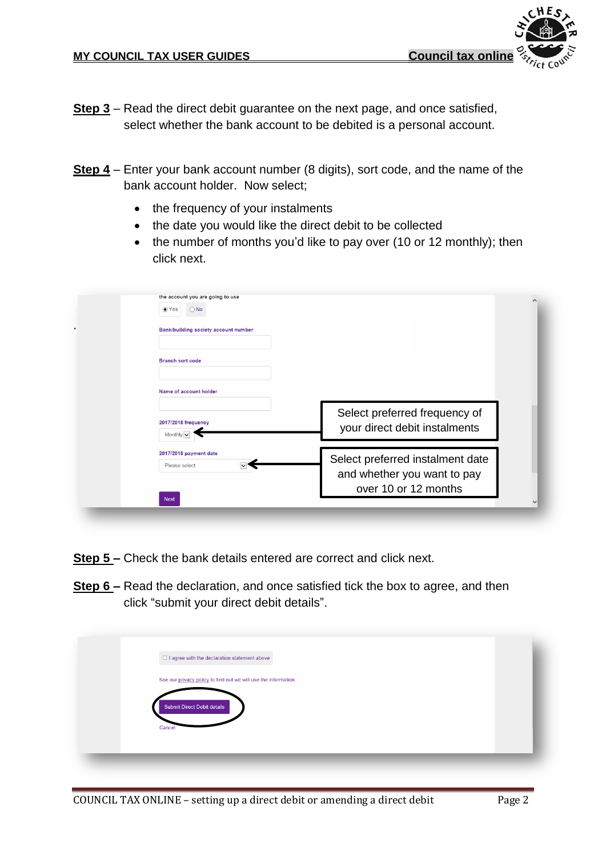- **Step 3** Read the direct debit guarantee on the next page, and once satisfied, select whether the bank account to be debited is a personal account.
- **Step 4** Enter your bank account number (8 digits), sort code, and the name of the bank account holder. Now select;
	- the frequency of your instalments
	- the date you would like the direct debit to be collected
	- the number of months you'd like to pay over (10 or 12 monthly); then click next.

| Select preferred frequency of<br>your direct debit instalments |
|----------------------------------------------------------------|
| Select preferred instalment date                               |
|                                                                |

- **Step 5 –** Check the bank details entered are correct and click next.
- **Step 6 –** Read the declaration, and once satisfied tick the box to agree, and then click "submit your direct debit details".

| $\Box$ I agree with the declaration statement above             |  |
|-----------------------------------------------------------------|--|
| See our privacy policy to find out we will use the information. |  |
| Submit Direct Debit details                                     |  |
| Cancel                                                          |  |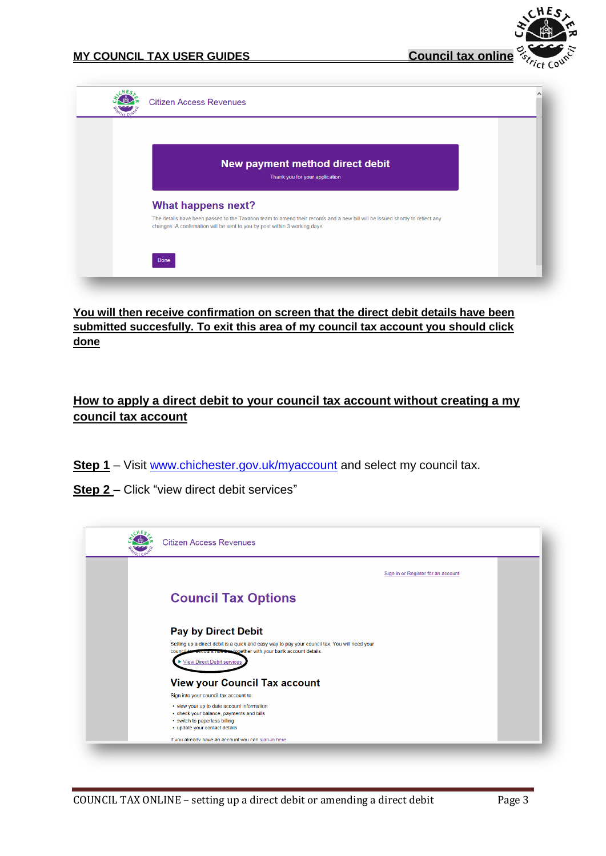

| New payment method direct debit<br>Thank you for your application                                                                                                                                           |  |
|-------------------------------------------------------------------------------------------------------------------------------------------------------------------------------------------------------------|--|
| <b>What happens next?</b>                                                                                                                                                                                   |  |
| The details have been passed to the Taxation team to amend their records and a new bill will be issued shortly to reflect any<br>changes. A confirmation will be sent to you by post within 3 working days. |  |
|                                                                                                                                                                                                             |  |

**You will then receive confirmation on screen that the direct debit details have been submitted succesfully. To exit this area of my council tax account you should click done**

# <span id="page-2-0"></span>**How to apply a direct debit to your council tax account without creating a my council tax account**

- **Step 1** Visit [www.chichester.gov.uk/myaccount](http://www.chichester.gov.uk/myaccount) and select my council tax.
- **Step 2**  Click "view direct debit services"

| <b>Citizen Access Revenues</b>                                                                                                                                         |  |
|------------------------------------------------------------------------------------------------------------------------------------------------------------------------|--|
| Sign in or Register for an account                                                                                                                                     |  |
| <b>Council Tax Options</b>                                                                                                                                             |  |
| <b>Pay by Direct Debit</b>                                                                                                                                             |  |
| Setting up a direct debit is a quick and easy way to pay your council tax. You will need your<br>account number together with your bank account details.<br>council to |  |
| ▶ View Direct Debit services                                                                                                                                           |  |
| <b>View your Council Tax account</b>                                                                                                                                   |  |
| Sign into your council tax account to:                                                                                                                                 |  |
| • view your up to date account information<br>• check your balance, payments and bills<br>• switch to paperless billing<br>• update your contact details               |  |
| If you already have an account you can sign-in here                                                                                                                    |  |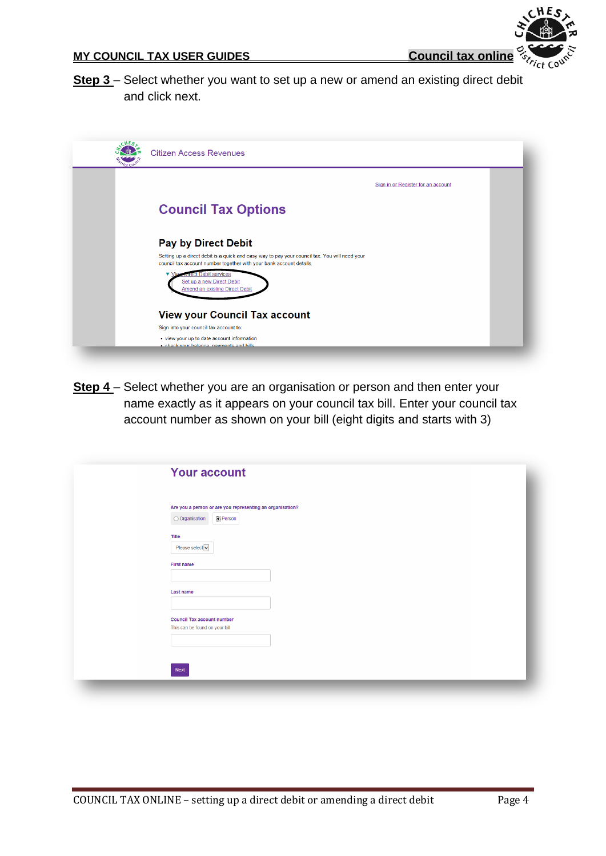НĿ

**Step 3** – Select whether you want to set up a new or amend an existing direct debit and click next.

| <b>Citizen Access Revenues</b>                                                                                                                                       |                                    |
|----------------------------------------------------------------------------------------------------------------------------------------------------------------------|------------------------------------|
|                                                                                                                                                                      | Sign in or Register for an account |
| <b>Council Tax Options</b>                                                                                                                                           |                                    |
| <b>Pay by Direct Debit</b>                                                                                                                                           |                                    |
| Setting up a direct debit is a quick and easy way to pay your council tax. You will need your<br>council tax account number together with your bank account details. |                                    |
| <b>Direct Debit services</b><br><b>V</b> View<br>Set up a new Direct Debit<br>Amend an existing Direct Debit                                                         |                                    |
| <b>View your Council Tax account</b>                                                                                                                                 |                                    |
| Sign into your council tax account to:                                                                                                                               |                                    |
| • view your up to date account information<br>. check your halance, nayments and hills.                                                                              |                                    |

**Step 4** – Select whether you are an organisation or person and then enter your name exactly as it appears on your council tax bill. Enter your council tax account number as shown on your bill (eight digits and starts with 3)

| Are you a person or are you representing an organisation?<br><b>Person</b><br>O Organisation<br>Title<br>Please select v<br><b>First name</b><br><b>Last name</b><br><b>Council Tax account number</b><br>This can be found on your bill |      |  |  |
|------------------------------------------------------------------------------------------------------------------------------------------------------------------------------------------------------------------------------------------|------|--|--|
|                                                                                                                                                                                                                                          |      |  |  |
|                                                                                                                                                                                                                                          |      |  |  |
|                                                                                                                                                                                                                                          |      |  |  |
|                                                                                                                                                                                                                                          |      |  |  |
|                                                                                                                                                                                                                                          |      |  |  |
|                                                                                                                                                                                                                                          |      |  |  |
|                                                                                                                                                                                                                                          |      |  |  |
|                                                                                                                                                                                                                                          |      |  |  |
|                                                                                                                                                                                                                                          |      |  |  |
|                                                                                                                                                                                                                                          |      |  |  |
|                                                                                                                                                                                                                                          |      |  |  |
|                                                                                                                                                                                                                                          | Next |  |  |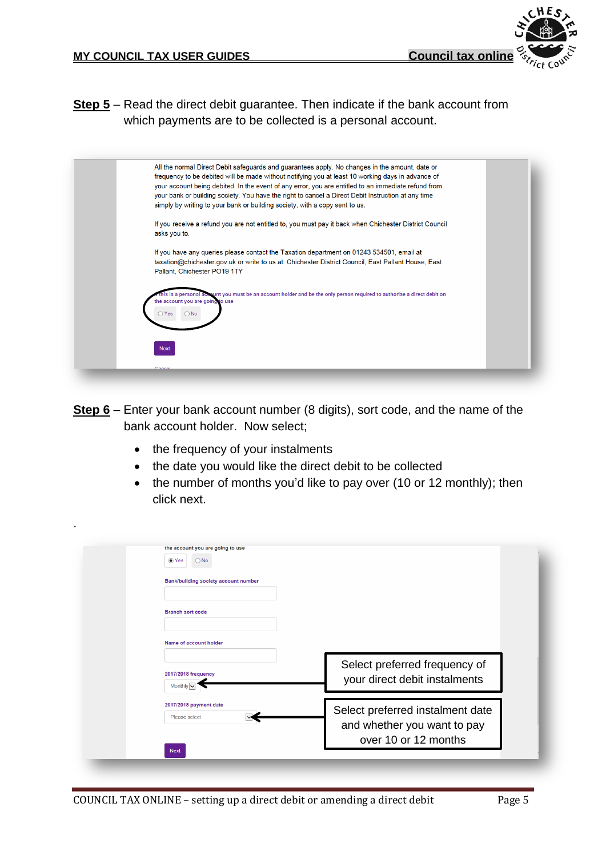**Step 5** – Read the direct debit guarantee. Then indicate if the bank account from which payments are to be collected is a personal account.



- **Step 6** Enter your bank account number (8 digits), sort code, and the name of the bank account holder. Now select;
	- the frequency of your instalments

.

- the date you would like the direct debit to be collected
- $\bullet$  the number of months you'd like to pay over (10 or 12 monthly); then click next.

| ◉ Yes<br>$\bigcirc$ No                    |                                                                |
|-------------------------------------------|----------------------------------------------------------------|
| Bank/building society account number      |                                                                |
| <b>Branch sort code</b>                   |                                                                |
| Name of account holder                    |                                                                |
| 2017/2018 frequency<br>Monthly $\backsim$ | Select preferred frequency of<br>your direct debit instalments |
| 2017/2018 payment date                    | Select preferred instalment date                               |
| Please select                             | and whether you want to pay<br>over 10 or 12 months            |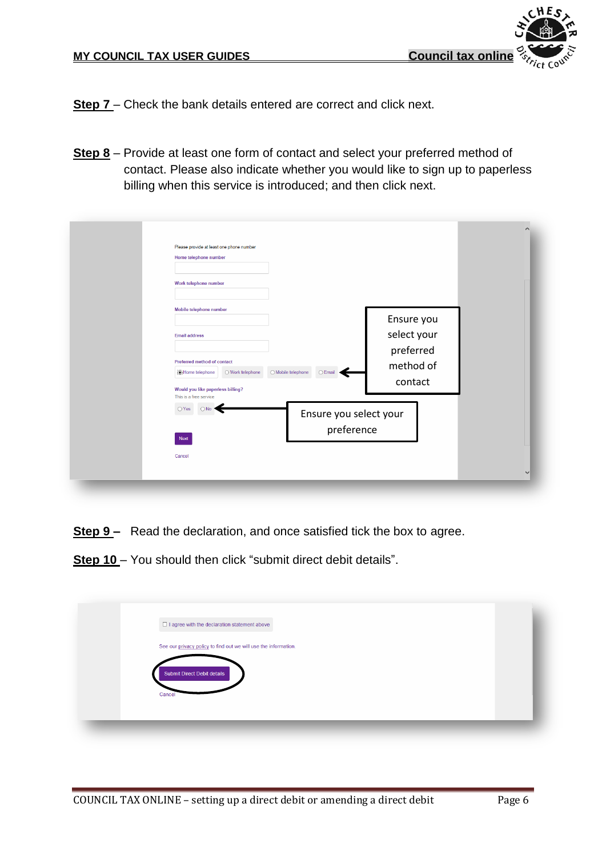НE

- **Step 7** Check the bank details entered are correct and click next.
- **Step 8** Provide at least one form of contact and select your preferred method of contact. Please also indicate whether you would like to sign up to paperless billing when this service is introduced; and then click next.

| Please provide at least one phone number<br>Home telephone number<br>Work telephone number                                                                                                                         |                                                                                    |
|--------------------------------------------------------------------------------------------------------------------------------------------------------------------------------------------------------------------|------------------------------------------------------------------------------------|
| Mobile telephone number<br><b>Email address</b><br>Preferred method of contact<br>$\bigcirc$ Mobile telephone<br>Home telephone<br>○ Work telephone<br>Would you like paperless billing?<br>This is a free service | Ensure you<br>select your<br>preferred<br>method of<br>$\bigcirc$ Email<br>contact |
| $\bigcirc$ Yes<br>Next<br>Cancel                                                                                                                                                                                   | Ensure you select your<br>preference                                               |

- **Step 9** Read the declaration, and once satisfied tick the box to agree.
- **Step 10** You should then click "submit direct debit details".

| $\Box$ I agree with the declaration statement above             |  |
|-----------------------------------------------------------------|--|
| See our privacy policy to find out we will use the information. |  |
| <b>Submit Direct Debit details</b><br>Cancel                    |  |
|                                                                 |  |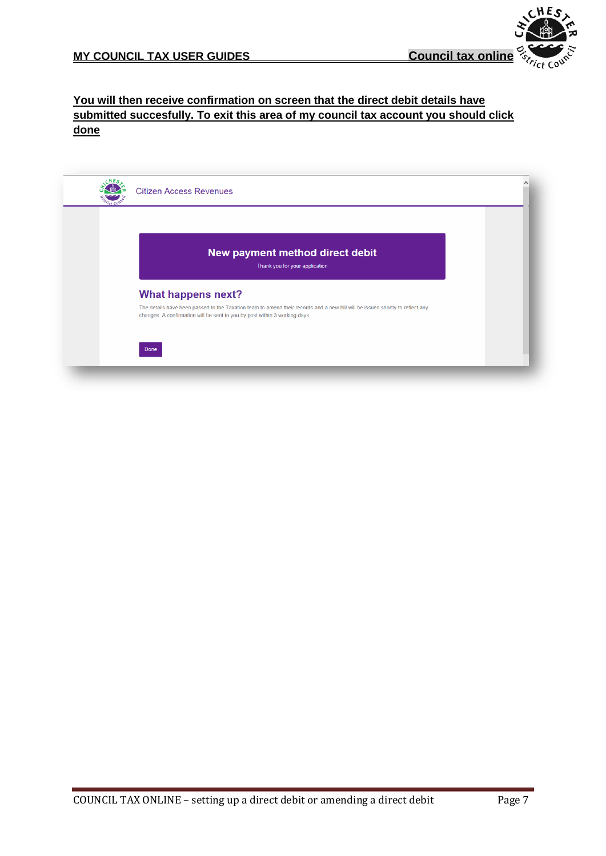

### **You will then receive confirmation on screen that the direct debit details have submitted succesfully. To exit this area of my council tax account you should click done**

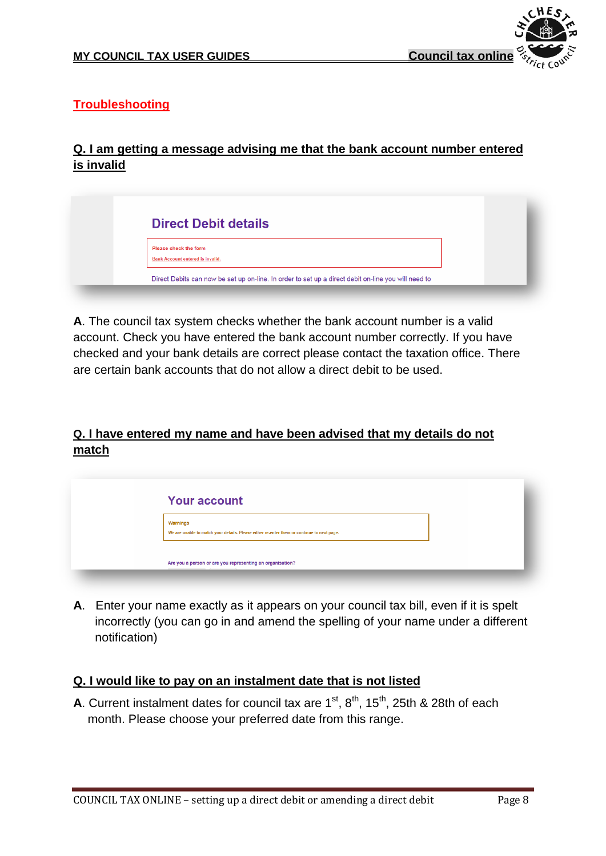

# <span id="page-7-0"></span>**Troubleshooting**

# **Q. I am getting a message advising me that the bank account number entered is invalid**

| <b>Direct Debit details</b>                                      |                                                                                                     |
|------------------------------------------------------------------|-----------------------------------------------------------------------------------------------------|
| Please check the form<br><b>Bank Account entered is invalid.</b> |                                                                                                     |
|                                                                  | Direct Debits can now be set up on-line. In order to set up a direct debit on-line you will need to |

**A**. The council tax system checks whether the bank account number is a valid account. Check you have entered the bank account number correctly. If you have checked and your bank details are correct please contact the taxation office. There are certain bank accounts that do not allow a direct debit to be used.

# **Q. I have entered my name and have been advised that my details do not match**

| <b>Your account</b>                                                                                           |  |
|---------------------------------------------------------------------------------------------------------------|--|
| <b>Warnings</b><br>We are unable to match your details. Please either re-enter them or continue to next page. |  |
| Are you a person or are you representing an organisation?                                                     |  |

**A**. Enter your name exactly as it appears on your council tax bill, even if it is spelt incorrectly (you can go in and amend the spelling of your name under a different notification)

## **Q. I would like to pay on an instalment date that is not listed**

**A**. Current instalment dates for council tax are  $1<sup>st</sup>$ ,  $8<sup>th</sup>$ ,  $15<sup>th</sup>$ , 25th & 28th of each month. Please choose your preferred date from this range.